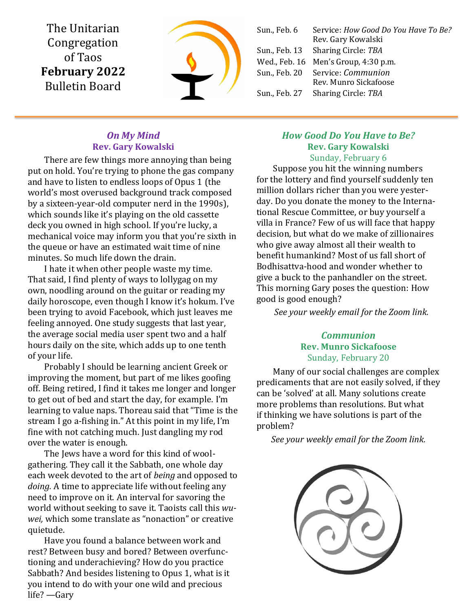The Unitarian Congregation of Taos **February 2022** Bulletin Board



| Sun., Feb. 6 | Service: How Good Do You Have To Be?<br>Rev. Gary Kowalski       |
|--------------|------------------------------------------------------------------|
|              | Sun., Feb. 13 Sharing Circle: TBA                                |
|              | Wed., Feb. 16 Men's Group, 4:30 p.m.                             |
|              | Sun., Feb. 20 Service: <i>Communion</i><br>Rev. Munro Sickafoose |
|              | Sun., Feb. 27 Sharing Circle: TBA                                |
|              |                                                                  |

## *On My Mind* **Rev. Gary Kowalski**

There are few things more annoying than being put on hold. You're trying to phone the gas company and have to listen to endless loops of Opus 1 (the world's most overused background track composed by a sixteen-year-old computer nerd in the 1990s), which sounds like it's playing on the old cassette deck you owned in high school. If you're lucky, a mechanical voice may inform you that you're sixth in the queue or have an estimated wait time of nine minutes. So much life down the drain.

I hate it when other people waste my time. That said, I find plenty of ways to lollygag on my own, noodling around on the guitar or reading my daily horoscope, even though I know it's hokum. I've been trying to avoid Facebook, which just leaves me feeling annoyed. One study suggests that last year, the average social media user spent two and a half hours daily on the site, which adds up to one tenth of your life.

Probably I should be learning ancient Greek or improving the moment, but part of me likes goofing off. Being retired, I find it takes me longer and longer to get out of bed and start the day, for example. I'm learning to value naps. Thoreau said that "Time is the stream I go a-fishing in." At this point in my life, I'm fine with not catching much. Just dangling my rod over the water is enough.

The Jews have a word for this kind of woolgathering. They call it the Sabbath, one whole day each week devoted to the art of *being* and opposed to *doing.* A time to appreciate life without feeling any need to improve on it. An interval for savoring the world without seeking to save it. Taoists call this *wuwei,* which some translate as "nonaction" or creative quietude.

Have you found a balance between work and rest? Between busy and bored? Between overfunctioning and underachieving? How do you practice Sabbath? And besides listening to Opus 1, what is it you intend to do with your one wild and precious life? —Gary

## *How Good Do You Have to Be?* **Rev. Gary Kowalski** Sunday, February 6

Suppose you hit the winning numbers for the lottery and find yourself suddenly ten million dollars richer than you were yesterday. Do you donate the money to the International Rescue Committee, or buy yourself a villa in France? Few of us will face that happy decision, but what do we make of zillionaires who give away almost all their wealth to benefit humankind? Most of us fall short of Bodhisattva-hood and wonder whether to give a buck to the panhandler on the street. This morning Gary poses the question: How good is good enough?

*See your weekly email for the Zoom link.*

## *Communion* **Rev. Munro Sickafoose** Sunday, February 20

Many of our social challenges are complex predicaments that are not easily solved, if they can be 'solved' at all. Many solutions create more problems than resolutions. But what if thinking we have solutions is part of the problem?

*See your weekly email for the Zoom link.*